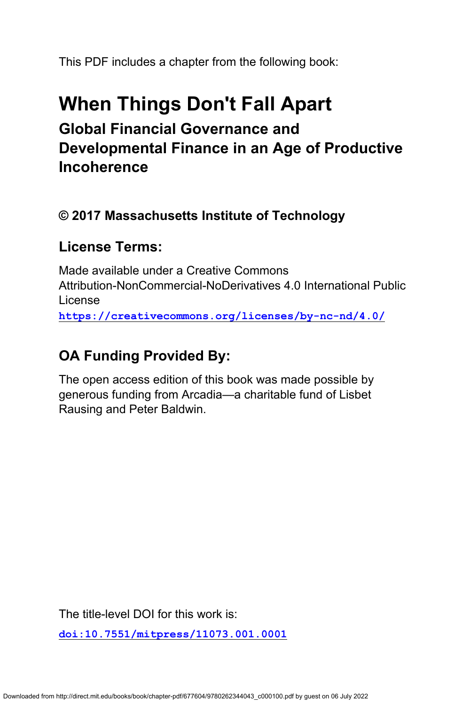This PDF includes a chapter from the following book:

# **When Things Don't Fall Apart Global Financial Governance and Developmental Finance in an Age of Productive Incoherence**

## **© 2017 Massachusetts Institute of Technology**

## **License Terms:**

Made available under a Creative Commons Attribution-NonCommercial-NoDerivatives 4.0 International Public License **<https://creativecommons.org/licenses/by-nc-nd/4.0/>**

# **OA Funding Provided By:**

The open access edition of this book was made possible by generous funding from Arcadia—a charitable fund of Lisbet Rausing and Peter Baldwin.

The title-level DOI for this work is:

**[doi:10.7551/mitpress/11073.001.0001](https://doi.org/10.7551/mitpress/11073.001.0001)**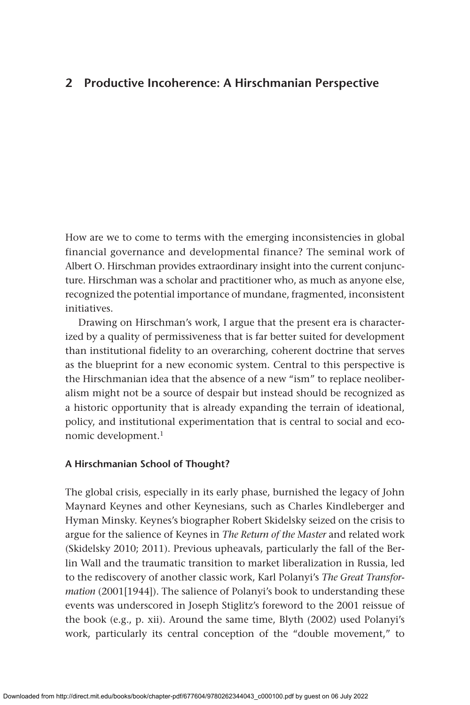## **2 Productive Incoherence: A Hirschmanian Perspective**

How are we to come to terms with the emerging inconsistencies in global financial governance and developmental finance? The seminal work of Albert O. Hirschman provides extraordinary insight into the current conjuncture. Hirschman was a scholar and practitioner who, as much as anyone else, recognized the potential importance of mundane, fragmented, inconsistent initiatives.

Drawing on Hirschman's work, I argue that the present era is characterized by a quality of permissiveness that is far better suited for development than institutional fidelity to an overarching, coherent doctrine that serves as the blueprint for a new economic system. Central to this perspective is the Hirschmanian idea that the absence of a new "ism" to replace neoliberalism might not be a source of despair but instead should be recognized as a historic opportunity that is already expanding the terrain of ideational, policy, and institutional experimentation that is central to social and economic development.1

## **A Hirschmanian School of Thought?**

The global crisis, especially in its early phase, burnished the legacy of John Maynard Keynes and other Keynesians, such as Charles Kindleberger and Hyman Minsky. Keynes's biographer Robert Skidelsky seized on the crisis to argue for the salience of Keynes in *The Return of the Master* and related work (Skidelsky 2010; 2011). Previous upheavals, particularly the fall of the Berlin Wall and the traumatic transition to market liberalization in Russia, led to the rediscovery of another classic work, Karl Polanyi's *The Great Transformation* (2001[1944]). The salience of Polanyi's book to understanding these events was underscored in Joseph Stiglitz's foreword to the 2001 reissue of the book (e.g., p. xii). Around the same time, Blyth (2002) used Polanyi's work, particularly its central conception of the "double movement," to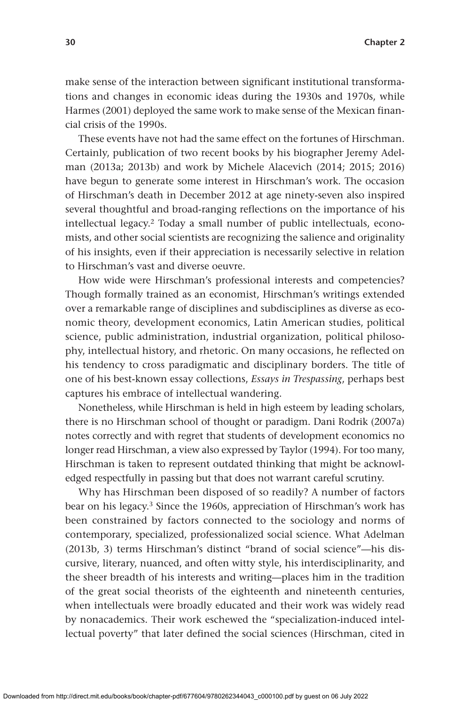make sense of the interaction between significant institutional transformations and changes in economic ideas during the 1930s and 1970s, while Harmes (2001) deployed the same work to make sense of the Mexican financial crisis of the 1990s.

These events have not had the same effect on the fortunes of Hirschman. Certainly, publication of two recent books by his biographer Jeremy Adelman (2013a; 2013b) and work by Michele Alacevich (2014; 2015; 2016) have begun to generate some interest in Hirschman's work. The occasion of Hirschman's death in December 2012 at age ninety-seven also inspired several thoughtful and broad-ranging reflections on the importance of his intellectual legacy.2 Today a small number of public intellectuals, economists, and other social scientists are recognizing the salience and originality of his insights, even if their appreciation is necessarily selective in relation to Hirschman's vast and diverse oeuvre.

How wide were Hirschman's professional interests and competencies? Though formally trained as an economist, Hirschman's writings extended over a remarkable range of disciplines and subdisciplines as diverse as economic theory, development economics, Latin American studies, political science, public administration, industrial organization, political philosophy, intellectual history, and rhetoric. On many occasions, he reflected on his tendency to cross paradigmatic and disciplinary borders. The title of one of his best-known essay collections, *Essays in Trespassing*, perhaps best captures his embrace of intellectual wandering.

Nonetheless, while Hirschman is held in high esteem by leading scholars, there is no Hirschman school of thought or paradigm. Dani Rodrik (2007a) notes correctly and with regret that students of development economics no longer read Hirschman, a view also expressed by Taylor (1994). For too many, Hirschman is taken to represent outdated thinking that might be acknowledged respectfully in passing but that does not warrant careful scrutiny.

Why has Hirschman been disposed of so readily? A number of factors bear on his legacy.<sup>3</sup> Since the 1960s, appreciation of Hirschman's work has been constrained by factors connected to the sociology and norms of contemporary, specialized, professionalized social science. What Adelman (2013b, 3) terms Hirschman's distinct "brand of social science"—his discursive, literary, nuanced, and often witty style, his interdisciplinarity, and the sheer breadth of his interests and writing—places him in the tradition of the great social theorists of the eighteenth and nineteenth centuries, when intellectuals were broadly educated and their work was widely read by nonacademics. Their work eschewed the "specialization-induced intellectual poverty" that later defined the social sciences (Hirschman, cited in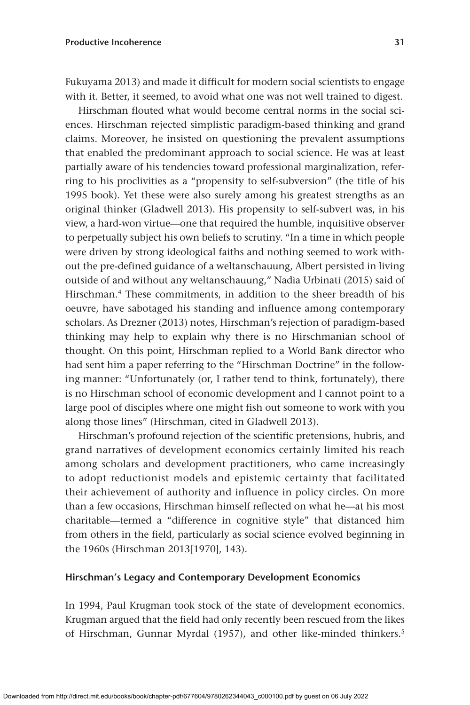Fukuyama 2013) and made it difficult for modern social scientists to engage with it. Better, it seemed, to avoid what one was not well trained to digest.

Hirschman flouted what would become central norms in the social sciences. Hirschman rejected simplistic paradigm-based thinking and grand claims. Moreover, he insisted on questioning the prevalent assumptions that enabled the predominant approach to social science. He was at least partially aware of his tendencies toward professional marginalization, referring to his proclivities as a "propensity to self-subversion" (the title of his 1995 book). Yet these were also surely among his greatest strengths as an original thinker (Gladwell 2013). His propensity to self-subvert was, in his view, a hard-won virtue—one that required the humble, inquisitive observer to perpetually subject his own beliefs to scrutiny. "In a time in which people were driven by strong ideological faiths and nothing seemed to work without the pre-defined guidance of a weltanschauung, Albert persisted in living outside of and without any weltanschauung," Nadia Urbinati (2015) said of Hirschman.4 These commitments, in addition to the sheer breadth of his oeuvre, have sabotaged his standing and influence among contemporary scholars. As Drezner (2013) notes, Hirschman's rejection of paradigm-based thinking may help to explain why there is no Hirschmanian school of thought. On this point, Hirschman replied to a World Bank director who had sent him a paper referring to the "Hirschman Doctrine" in the following manner: "Unfortunately (or, I rather tend to think, fortunately), there is no Hirschman school of economic development and I cannot point to a large pool of disciples where one might fish out someone to work with you along those lines" (Hirschman, cited in Gladwell 2013).

Hirschman's profound rejection of the scientific pretensions, hubris, and grand narratives of development economics certainly limited his reach among scholars and development practitioners, who came increasingly to adopt reductionist models and epistemic certainty that facilitated their achievement of authority and influence in policy circles. On more than a few occasions, Hirschman himself reflected on what he—at his most charitable—termed a "difference in cognitive style" that distanced him from others in the field, particularly as social science evolved beginning in the 1960s (Hirschman 2013[1970], 143).

### **Hirschman's Legacy and Contemporary Development Economics**

In 1994, Paul Krugman took stock of the state of development economics. Krugman argued that the field had only recently been rescued from the likes of Hirschman, Gunnar Myrdal (1957), and other like-minded thinkers.<sup>5</sup>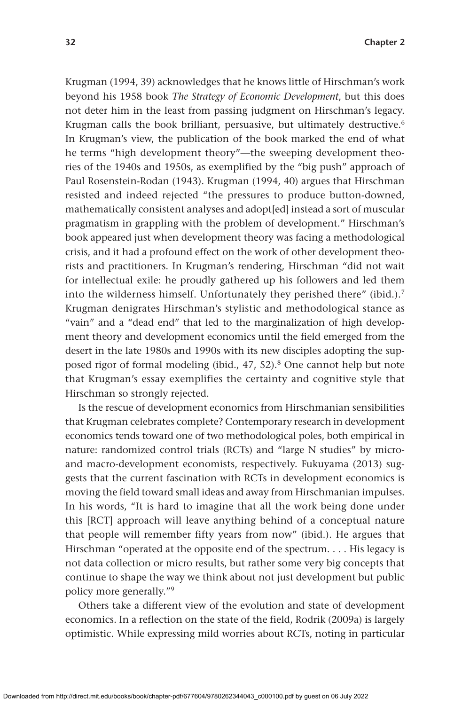Krugman (1994, 39) acknowledges that he knows little of Hirschman's work beyond his 1958 book *The Strategy of Economic Development*, but this does not deter him in the least from passing judgment on Hirschman's legacy. Krugman calls the book brilliant, persuasive, but ultimately destructive.<sup>6</sup> In Krugman's view, the publication of the book marked the end of what he terms "high development theory"—the sweeping development theories of the 1940s and 1950s, as exemplified by the "big push" approach of Paul Rosenstein-Rodan (1943). Krugman (1994, 40) argues that Hirschman resisted and indeed rejected "the pressures to produce button-downed, mathematically consistent analyses and adopt[ed] instead a sort of muscular pragmatism in grappling with the problem of development." Hirschman's book appeared just when development theory was facing a methodological crisis, and it had a profound effect on the work of other development theorists and practitioners. In Krugman's rendering, Hirschman "did not wait for intellectual exile: he proudly gathered up his followers and led them into the wilderness himself. Unfortunately they perished there" (ibid.).7 Krugman denigrates Hirschman's stylistic and methodological stance as "vain" and a "dead end" that led to the marginalization of high development theory and development economics until the field emerged from the desert in the late 1980s and 1990s with its new disciples adopting the supposed rigor of formal modeling (ibid., 47, 52).8 One cannot help but note that Krugman's essay exemplifies the certainty and cognitive style that Hirschman so strongly rejected.

Is the rescue of development economics from Hirschmanian sensibilities that Krugman celebrates complete? Contemporary research in development economics tends toward one of two methodological poles, both empirical in nature: randomized control trials (RCTs) and "large N studies" by microand macro-development economists, respectively. Fukuyama (2013) suggests that the current fascination with RCTs in development economics is moving the field toward small ideas and away from Hirschmanian impulses. In his words, "It is hard to imagine that all the work being done under this [RCT] approach will leave anything behind of a conceptual nature that people will remember fifty years from now" (ibid.). He argues that Hirschman "operated at the opposite end of the spectrum. . . . His legacy is not data collection or micro results, but rather some very big concepts that continue to shape the way we think about not just development but public policy more generally."9

Others take a different view of the evolution and state of development economics. In a reflection on the state of the field, Rodrik (2009a) is largely optimistic. While expressing mild worries about RCTs, noting in particular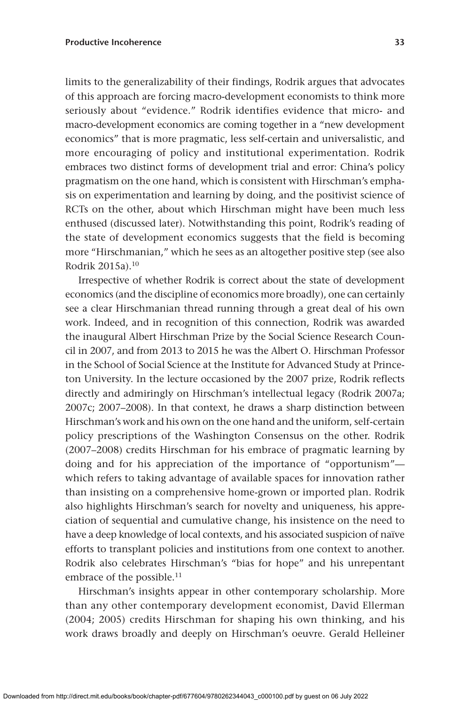limits to the generalizability of their findings, Rodrik argues that advocates of this approach are forcing macro-development economists to think more seriously about "evidence." Rodrik identifies evidence that micro- and macro-development economics are coming together in a "new development economics" that is more pragmatic, less self-certain and universalistic, and more encouraging of policy and institutional experimentation. Rodrik embraces two distinct forms of development trial and error: China's policy pragmatism on the one hand, which is consistent with Hirschman's emphasis on experimentation and learning by doing, and the positivist science of RCTs on the other, about which Hirschman might have been much less enthused (discussed later). Notwithstanding this point, Rodrik's reading of the state of development economics suggests that the field is becoming more "Hirschmanian," which he sees as an altogether positive step (see also Rodrik 2015a).10

Irrespective of whether Rodrik is correct about the state of development economics (and the discipline of economics more broadly), one can certainly see a clear Hirschmanian thread running through a great deal of his own work. Indeed, and in recognition of this connection, Rodrik was awarded the inaugural Albert Hirschman Prize by the Social Science Research Council in 2007, and from 2013 to 2015 he was the Albert O. Hirschman Professor in the School of Social Science at the Institute for Advanced Study at Princeton University. In the lecture occasioned by the 2007 prize, Rodrik reflects directly and admiringly on Hirschman's intellectual legacy (Rodrik 2007a; 2007c; 2007–2008). In that context, he draws a sharp distinction between Hirschman's work and his own on the one hand and the uniform, self-certain policy prescriptions of the Washington Consensus on the other. Rodrik (2007–2008) credits Hirschman for his embrace of pragmatic learning by doing and for his appreciation of the importance of "opportunism" which refers to taking advantage of available spaces for innovation rather than insisting on a comprehensive home-grown or imported plan. Rodrik also highlights Hirschman's search for novelty and uniqueness, his appreciation of sequential and cumulative change, his insistence on the need to have a deep knowledge of local contexts, and his associated suspicion of naïve efforts to transplant policies and institutions from one context to another. Rodrik also celebrates Hirschman's "bias for hope" and his unrepentant embrace of the possible.<sup>11</sup>

Hirschman's insights appear in other contemporary scholarship. More than any other contemporary development economist, David Ellerman (2004; 2005) credits Hirschman for shaping his own thinking, and his work draws broadly and deeply on Hirschman's oeuvre. Gerald Helleiner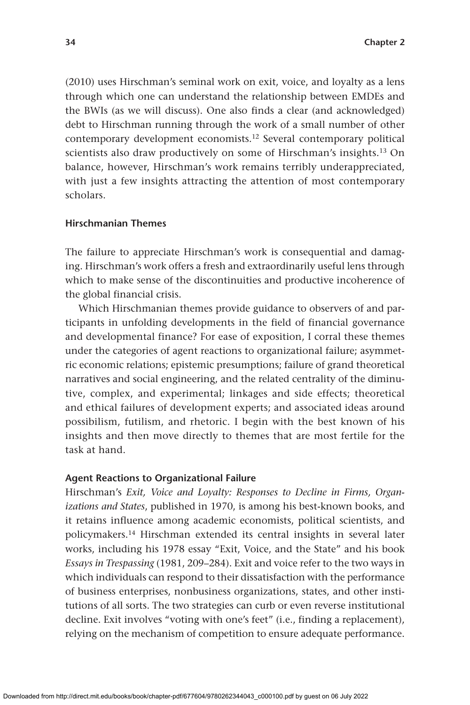(2010) uses Hirschman's seminal work on exit, voice, and loyalty as a lens through which one can understand the relationship between EMDEs and the BWIs (as we will discuss). One also finds a clear (and acknowledged) debt to Hirschman running through the work of a small number of other contemporary development economists.12 Several contemporary political scientists also draw productively on some of Hirschman's insights.13 On balance, however, Hirschman's work remains terribly underappreciated, with just a few insights attracting the attention of most contemporary scholars.

## **Hirschmanian Themes**

The failure to appreciate Hirschman's work is consequential and damaging. Hirschman's work offers a fresh and extraordinarily useful lens through which to make sense of the discontinuities and productive incoherence of the global financial crisis.

Which Hirschmanian themes provide guidance to observers of and participants in unfolding developments in the field of financial governance and developmental finance? For ease of exposition, I corral these themes under the categories of agent reactions to organizational failure; asymmetric economic relations; epistemic presumptions; failure of grand theoretical narratives and social engineering, and the related centrality of the diminutive, complex, and experimental; linkages and side effects; theoretical and ethical failures of development experts; and associated ideas around possibilism, futilism, and rhetoric. I begin with the best known of his insights and then move directly to themes that are most fertile for the task at hand.

#### **Agent Reactions to Organizational Failure**

Hirschman's *Exit, Voice and Loyalty: Responses to Decline in Firms, Organizations and States*, published in 1970, is among his best-known books, and it retains influence among academic economists, political scientists, and policymakers.14 Hirschman extended its central insights in several later works, including his 1978 essay "Exit, Voice, and the State" and his book *Essays in Trespassing* (1981, 209–284). Exit and voice refer to the two ways in which individuals can respond to their dissatisfaction with the performance of business enterprises, nonbusiness organizations, states, and other institutions of all sorts. The two strategies can curb or even reverse institutional decline. Exit involves "voting with one's feet" (i.e., finding a replacement), relying on the mechanism of competition to ensure adequate performance.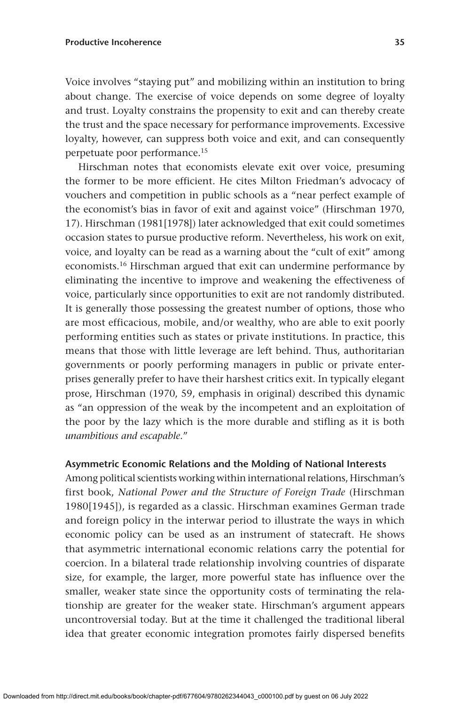#### **Productive Incoherence 35**

Voice involves "staying put" and mobilizing within an institution to bring about change. The exercise of voice depends on some degree of loyalty and trust. Loyalty constrains the propensity to exit and can thereby create the trust and the space necessary for performance improvements. Excessive loyalty, however, can suppress both voice and exit, and can consequently perpetuate poor performance.15

Hirschman notes that economists elevate exit over voice, presuming the former to be more efficient. He cites Milton Friedman's advocacy of vouchers and competition in public schools as a "near perfect example of the economist's bias in favor of exit and against voice" (Hirschman 1970, 17). Hirschman (1981[1978]) later acknowledged that exit could sometimes occasion states to pursue productive reform. Nevertheless, his work on exit, voice, and loyalty can be read as a warning about the "cult of exit" among economists.16 Hirschman argued that exit can undermine performance by eliminating the incentive to improve and weakening the effectiveness of voice, particularly since opportunities to exit are not randomly distributed. It is generally those possessing the greatest number of options, those who are most efficacious, mobile, and/or wealthy, who are able to exit poorly performing entities such as states or private institutions. In practice, this means that those with little leverage are left behind. Thus, authoritarian governments or poorly performing managers in public or private enterprises generally prefer to have their harshest critics exit. In typically elegant prose, Hirschman (1970, 59, emphasis in original) described this dynamic as "an oppression of the weak by the incompetent and an exploitation of the poor by the lazy which is the more durable and stifling as it is both *unambitious and escapable*."

## **Asymmetric Economic Relations and the Molding of National Interests**

Among political scientists working within international relations, Hirschman's first book, *National Power and the Structure of Foreign Trade* (Hirschman 1980[1945]), is regarded as a classic. Hirschman examines German trade and foreign policy in the interwar period to illustrate the ways in which economic policy can be used as an instrument of statecraft. He shows that asymmetric international economic relations carry the potential for coercion. In a bilateral trade relationship involving countries of disparate size, for example, the larger, more powerful state has influence over the smaller, weaker state since the opportunity costs of terminating the relationship are greater for the weaker state. Hirschman's argument appears uncontroversial today. But at the time it challenged the traditional liberal idea that greater economic integration promotes fairly dispersed benefits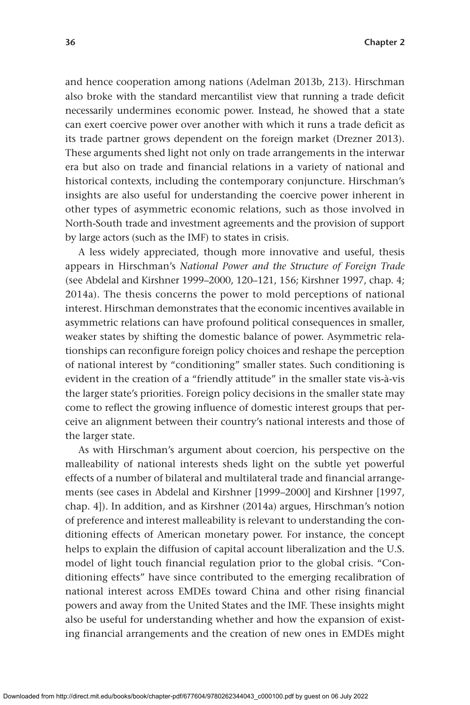and hence cooperation among nations (Adelman 2013b, 213). Hirschman also broke with the standard mercantilist view that running a trade deficit necessarily undermines economic power. Instead, he showed that a state can exert coercive power over another with which it runs a trade deficit as its trade partner grows dependent on the foreign market (Drezner 2013). These arguments shed light not only on trade arrangements in the interwar era but also on trade and financial relations in a variety of national and historical contexts, including the contemporary conjuncture. Hirschman's insights are also useful for understanding the coercive power inherent in other types of asymmetric economic relations, such as those involved in North-South trade and investment agreements and the provision of support by large actors (such as the IMF) to states in crisis.

A less widely appreciated, though more innovative and useful, thesis appears in Hirschman's *National Power and the Structure of Foreign Trade* (see Abdelal and Kirshner 1999–2000, 120–121, 156; Kirshner 1997, chap. 4; 2014a). The thesis concerns the power to mold perceptions of national interest. Hirschman demonstrates that the economic incentives available in asymmetric relations can have profound political consequences in smaller, weaker states by shifting the domestic balance of power. Asymmetric relationships can reconfigure foreign policy choices and reshape the perception of national interest by "conditioning" smaller states. Such conditioning is evident in the creation of a "friendly attitude" in the smaller state vis-à-vis the larger state's priorities. Foreign policy decisions in the smaller state may come to reflect the growing influence of domestic interest groups that perceive an alignment between their country's national interests and those of the larger state.

As with Hirschman's argument about coercion, his perspective on the malleability of national interests sheds light on the subtle yet powerful effects of a number of bilateral and multilateral trade and financial arrangements (see cases in Abdelal and Kirshner [1999–2000] and Kirshner [1997, chap. 4]). In addition, and as Kirshner (2014a) argues, Hirschman's notion of preference and interest malleability is relevant to understanding the conditioning effects of American monetary power. For instance, the concept helps to explain the diffusion of capital account liberalization and the U.S. model of light touch financial regulation prior to the global crisis. "Conditioning effects" have since contributed to the emerging recalibration of national interest across EMDEs toward China and other rising financial powers and away from the United States and the IMF. These insights might also be useful for understanding whether and how the expansion of existing financial arrangements and the creation of new ones in EMDEs might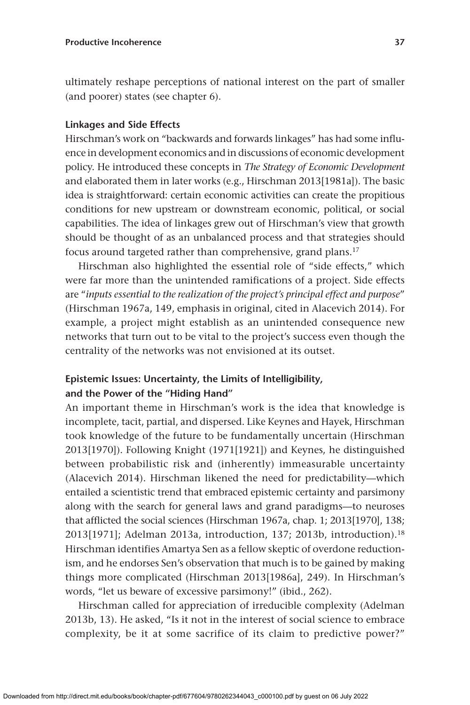ultimately reshape perceptions of national interest on the part of smaller (and poorer) states (see chapter 6).

#### **Linkages and Side Effects**

Hirschman's work on "backwards and forwards linkages" has had some influence in development economics and in discussions of economic development policy. He introduced these concepts in *The Strategy of Economic Development* and elaborated them in later works (e.g., Hirschman 2013[1981a]). The basic idea is straightforward: certain economic activities can create the propitious conditions for new upstream or downstream economic, political, or social capabilities. The idea of linkages grew out of Hirschman's view that growth should be thought of as an unbalanced process and that strategies should focus around targeted rather than comprehensive, grand plans.17

Hirschman also highlighted the essential role of "side effects," which were far more than the unintended ramifications of a project. Side effects are "*inputs essential to the realization of the project's principal effect and purpose*" (Hirschman 1967a, 149, emphasis in original, cited in Alacevich 2014). For example, a project might establish as an unintended consequence new networks that turn out to be vital to the project's success even though the centrality of the networks was not envisioned at its outset.

## **Epistemic Issues: Uncertainty, the Limits of Intelligibility, and the Power of the "Hiding Hand"**

An important theme in Hirschman's work is the idea that knowledge is incomplete, tacit, partial, and dispersed. Like Keynes and Hayek, Hirschman took knowledge of the future to be fundamentally uncertain (Hirschman 2013[1970]). Following Knight (1971[1921]) and Keynes, he distinguished between probabilistic risk and (inherently) immeasurable uncertainty (Alacevich 2014). Hirschman likened the need for predictability—which entailed a scientistic trend that embraced epistemic certainty and parsimony along with the search for general laws and grand paradigms—to neuroses that afflicted the social sciences (Hirschman 1967a, chap. 1; 2013[1970], 138; 2013[1971]; Adelman 2013a, introduction, 137; 2013b, introduction).<sup>18</sup> Hirschman identifies Amartya Sen as a fellow skeptic of overdone reductionism, and he endorses Sen's observation that much is to be gained by making things more complicated (Hirschman 2013[1986a], 249). In Hirschman's words, "let us beware of excessive parsimony!" (ibid., 262).

Hirschman called for appreciation of irreducible complexity (Adelman 2013b, 13). He asked, "Is it not in the interest of social science to embrace complexity, be it at some sacrifice of its claim to predictive power?"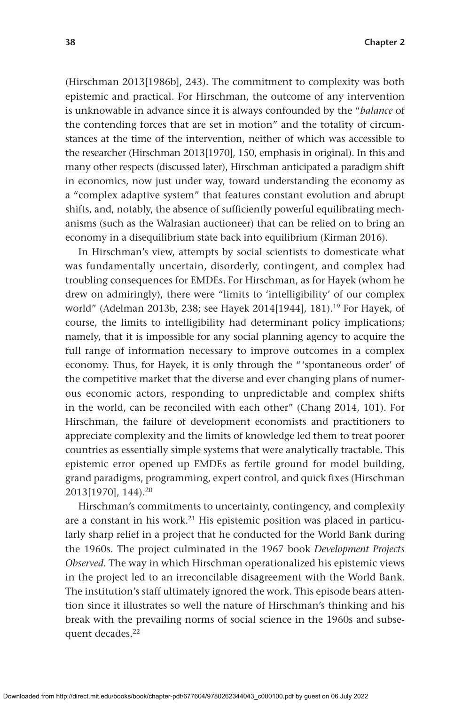(Hirschman 2013[1986b], 243). The commitment to complexity was both epistemic and practical. For Hirschman, the outcome of any intervention is unknowable in advance since it is always confounded by the "*balance* of the contending forces that are set in motion" and the totality of circumstances at the time of the intervention, neither of which was accessible to the researcher (Hirschman 2013[1970], 150, emphasis in original). In this and many other respects (discussed later), Hirschman anticipated a paradigm shift in economics, now just under way, toward understanding the economy as a "complex adaptive system" that features constant evolution and abrupt shifts, and, notably, the absence of sufficiently powerful equilibrating mechanisms (such as the Walrasian auctioneer) that can be relied on to bring an economy in a disequilibrium state back into equilibrium (Kirman 2016).

In Hirschman's view, attempts by social scientists to domesticate what was fundamentally uncertain, disorderly, contingent, and complex had troubling consequences for EMDEs. For Hirschman, as for Hayek (whom he drew on admiringly), there were "limits to 'intelligibility' of our complex world" (Adelman 2013b, 238; see Hayek 2014[1944], 181).19 For Hayek, of course, the limits to intelligibility had determinant policy implications; namely, that it is impossible for any social planning agency to acquire the full range of information necessary to improve outcomes in a complex economy. Thus, for Hayek, it is only through the "'spontaneous order' of the competitive market that the diverse and ever changing plans of numerous economic actors, responding to unpredictable and complex shifts in the world, can be reconciled with each other" (Chang 2014, 101). For Hirschman, the failure of development economists and practitioners to appreciate complexity and the limits of knowledge led them to treat poorer countries as essentially simple systems that were analytically tractable. This epistemic error opened up EMDEs as fertile ground for model building, grand paradigms, programming, expert control, and quick fixes (Hirschman 2013[1970], 144).20

Hirschman's commitments to uncertainty, contingency, and complexity are a constant in his work.<sup>21</sup> His epistemic position was placed in particularly sharp relief in a project that he conducted for the World Bank during the 1960s. The project culminated in the 1967 book *Development Projects Observed*. The way in which Hirschman operationalized his epistemic views in the project led to an irreconcilable disagreement with the World Bank. The institution's staff ultimately ignored the work. This episode bears attention since it illustrates so well the nature of Hirschman's thinking and his break with the prevailing norms of social science in the 1960s and subsequent decades.<sup>22</sup>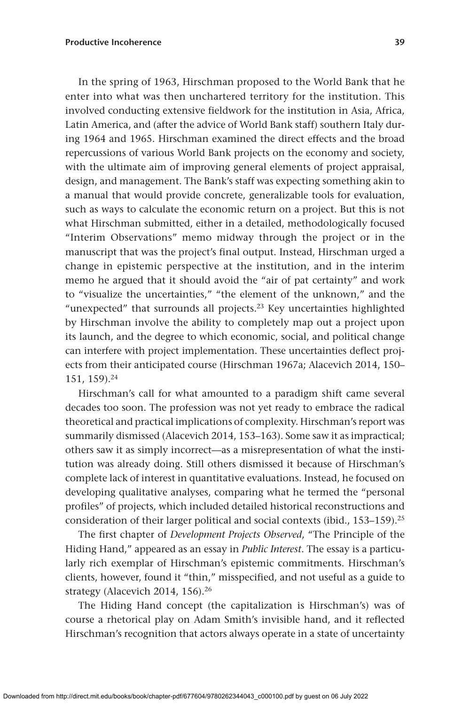#### **Productive Incoherence 39**

In the spring of 1963, Hirschman proposed to the World Bank that he enter into what was then unchartered territory for the institution. This involved conducting extensive fieldwork for the institution in Asia, Africa, Latin America, and (after the advice of World Bank staff) southern Italy during 1964 and 1965. Hirschman examined the direct effects and the broad repercussions of various World Bank projects on the economy and society, with the ultimate aim of improving general elements of project appraisal, design, and management. The Bank's staff was expecting something akin to a manual that would provide concrete, generalizable tools for evaluation, such as ways to calculate the economic return on a project. But this is not what Hirschman submitted, either in a detailed, methodologically focused "Interim Observations" memo midway through the project or in the manuscript that was the project's final output. Instead, Hirschman urged a change in epistemic perspective at the institution, and in the interim memo he argued that it should avoid the "air of pat certainty" and work to "visualize the uncertainties," "the element of the unknown," and the "unexpected" that surrounds all projects.<sup>23</sup> Key uncertainties highlighted by Hirschman involve the ability to completely map out a project upon its launch, and the degree to which economic, social, and political change can interfere with project implementation. These uncertainties deflect projects from their anticipated course (Hirschman 1967a; Alacevich 2014, 150– 151, 159).24

Hirschman's call for what amounted to a paradigm shift came several decades too soon. The profession was not yet ready to embrace the radical theoretical and practical implications of complexity. Hirschman's report was summarily dismissed (Alacevich 2014, 153–163). Some saw it as impractical; others saw it as simply incorrect—as a misrepresentation of what the institution was already doing. Still others dismissed it because of Hirschman's complete lack of interest in quantitative evaluations. Instead, he focused on developing qualitative analyses, comparing what he termed the "personal profiles" of projects, which included detailed historical reconstructions and consideration of their larger political and social contexts (ibid., 153–159).25

The first chapter of *Development Projects Observed*, "The Principle of the Hiding Hand," appeared as an essay in *Public Interest*. The essay is a particularly rich exemplar of Hirschman's epistemic commitments. Hirschman's clients, however, found it "thin," misspecified, and not useful as a guide to strategy (Alacevich 2014, 156).<sup>26</sup>

The Hiding Hand concept (the capitalization is Hirschman's) was of course a rhetorical play on Adam Smith's invisible hand, and it reflected Hirschman's recognition that actors always operate in a state of uncertainty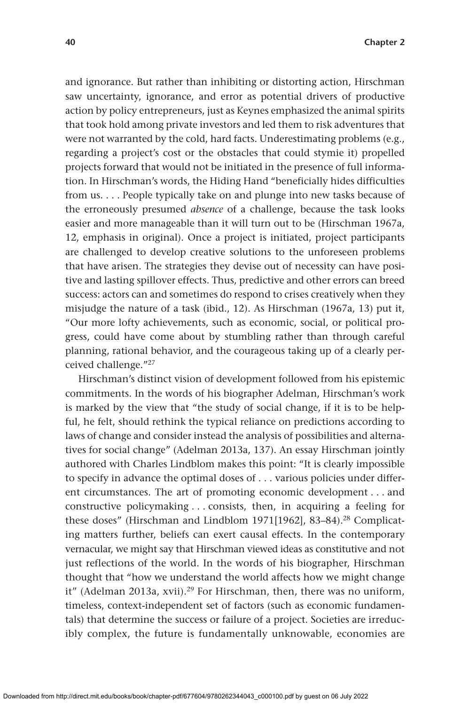and ignorance. But rather than inhibiting or distorting action, Hirschman saw uncertainty, ignorance, and error as potential drivers of productive action by policy entrepreneurs, just as Keynes emphasized the animal spirits that took hold among private investors and led them to risk adventures that were not warranted by the cold, hard facts. Underestimating problems (e.g., regarding a project's cost or the obstacles that could stymie it) propelled projects forward that would not be initiated in the presence of full information. In Hirschman's words, the Hiding Hand "beneficially hides difficulties from us. . . . People typically take on and plunge into new tasks because of the erroneously presumed *absence* of a challenge, because the task looks easier and more manageable than it will turn out to be (Hirschman 1967a, 12, emphasis in original). Once a project is initiated, project participants are challenged to develop creative solutions to the unforeseen problems that have arisen. The strategies they devise out of necessity can have positive and lasting spillover effects. Thus, predictive and other errors can breed success: actors can and sometimes do respond to crises creatively when they misjudge the nature of a task (ibid., 12). As Hirschman (1967a, 13) put it, "Our more lofty achievements, such as economic, social, or political progress, could have come about by stumbling rather than through careful planning, rational behavior, and the courageous taking up of a clearly perceived challenge."27

Hirschman's distinct vision of development followed from his epistemic commitments. In the words of his biographer Adelman, Hirschman's work is marked by the view that "the study of social change, if it is to be helpful, he felt, should rethink the typical reliance on predictions according to laws of change and consider instead the analysis of possibilities and alternatives for social change" (Adelman 2013a, 137). An essay Hirschman jointly authored with Charles Lindblom makes this point: "It is clearly impossible to specify in advance the optimal doses of . . . various policies under different circumstances. The art of promoting economic development . . . and constructive policymaking . . . consists, then, in acquiring a feeling for these doses" (Hirschman and Lindblom 1971[1962], 83–84).<sup>28</sup> Complicating matters further, beliefs can exert causal effects. In the contemporary vernacular, we might say that Hirschman viewed ideas as constitutive and not just reflections of the world. In the words of his biographer, Hirschman thought that "how we understand the world affects how we might change it" (Adelman 2013a, xvii).<sup>29</sup> For Hirschman, then, there was no uniform, timeless, context-independent set of factors (such as economic fundamentals) that determine the success or failure of a project. Societies are irreducibly complex, the future is fundamentally unknowable, economies are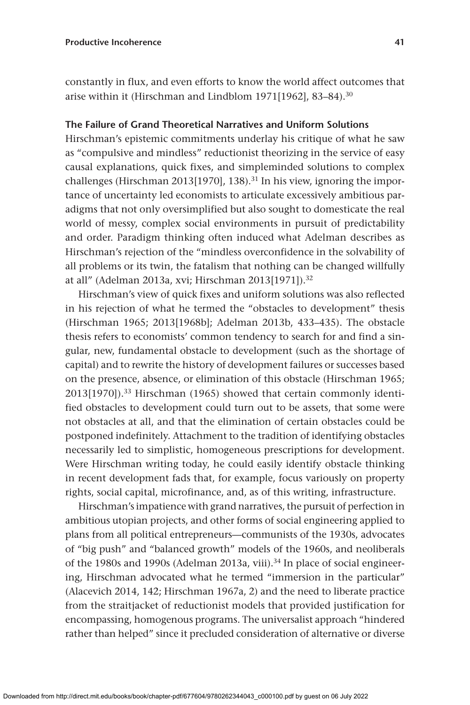constantly in flux, and even efforts to know the world affect outcomes that arise within it (Hirschman and Lindblom 1971[1962], 83–84).30

## **The Failure of Grand Theoretical Narratives and Uniform Solutions**

Hirschman's epistemic commitments underlay his critique of what he saw as "compulsive and mindless" reductionist theorizing in the service of easy causal explanations, quick fixes, and simpleminded solutions to complex challenges (Hirschman 2013[1970], 138).<sup>31</sup> In his view, ignoring the importance of uncertainty led economists to articulate excessively ambitious paradigms that not only oversimplified but also sought to domesticate the real world of messy, complex social environments in pursuit of predictability and order. Paradigm thinking often induced what Adelman describes as Hirschman's rejection of the "mindless overconfidence in the solvability of all problems or its twin, the fatalism that nothing can be changed willfully at all" (Adelman 2013a, xvi; Hirschman 2013[1971]).32

Hirschman's view of quick fixes and uniform solutions was also reflected in his rejection of what he termed the "obstacles to development" thesis (Hirschman 1965; 2013[1968b]; Adelman 2013b, 433–435). The obstacle thesis refers to economists' common tendency to search for and find a singular, new, fundamental obstacle to development (such as the shortage of capital) and to rewrite the history of development failures or successes based on the presence, absence, or elimination of this obstacle (Hirschman 1965; 2013[1970]).33 Hirschman (1965) showed that certain commonly identified obstacles to development could turn out to be assets, that some were not obstacles at all, and that the elimination of certain obstacles could be postponed indefinitely. Attachment to the tradition of identifying obstacles necessarily led to simplistic, homogeneous prescriptions for development. Were Hirschman writing today, he could easily identify obstacle thinking in recent development fads that, for example, focus variously on property rights, social capital, microfinance, and, as of this writing, infrastructure.

Hirschman's impatience with grand narratives, the pursuit of perfection in ambitious utopian projects, and other forms of social engineering applied to plans from all political entrepreneurs—communists of the 1930s, advocates of "big push" and "balanced growth" models of the 1960s, and neoliberals of the 1980s and 1990s (Adelman 2013a, viii).<sup>34</sup> In place of social engineering, Hirschman advocated what he termed "immersion in the particular" (Alacevich 2014, 142; Hirschman 1967a, 2) and the need to liberate practice from the straitjacket of reductionist models that provided justification for encompassing, homogenous programs. The universalist approach "hindered rather than helped" since it precluded consideration of alternative or diverse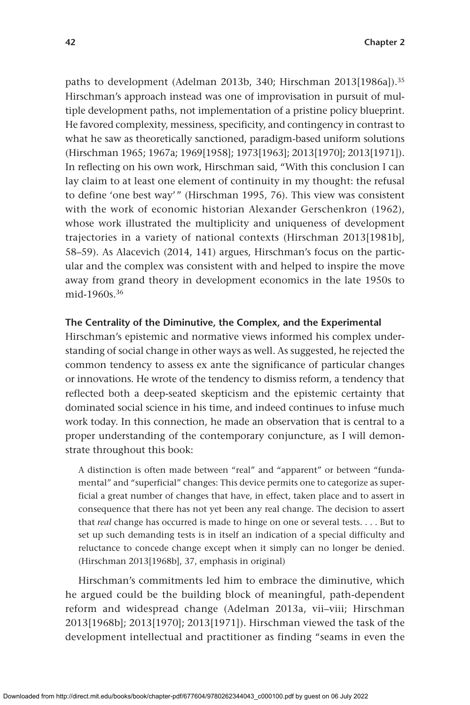paths to development (Adelman 2013b, 340; Hirschman 2013[1986a]).<sup>35</sup> Hirschman's approach instead was one of improvisation in pursuit of multiple development paths, not implementation of a pristine policy blueprint. He favored complexity, messiness, specificity, and contingency in contrast to what he saw as theoretically sanctioned, paradigm-based uniform solutions (Hirschman 1965; 1967a; 1969[1958]; 1973[1963]; 2013[1970]; 2013[1971]). In reflecting on his own work, Hirschman said, "With this conclusion I can lay claim to at least one element of continuity in my thought: the refusal to define 'one best way'" (Hirschman 1995, 76). This view was consistent with the work of economic historian Alexander Gerschenkron (1962), whose work illustrated the multiplicity and uniqueness of development trajectories in a variety of national contexts (Hirschman 2013[1981b], 58–59). As Alacevich (2014, 141) argues, Hirschman's focus on the particular and the complex was consistent with and helped to inspire the move away from grand theory in development economics in the late 1950s to mid-1960s.<sup>36</sup>

#### **The Centrality of the Diminutive, the Complex, and the Experimental**

Hirschman's epistemic and normative views informed his complex understanding of social change in other ways as well. As suggested, he rejected the common tendency to assess ex ante the significance of particular changes or innovations. He wrote of the tendency to dismiss reform, a tendency that reflected both a deep-seated skepticism and the epistemic certainty that dominated social science in his time, and indeed continues to infuse much work today. In this connection, he made an observation that is central to a proper understanding of the contemporary conjuncture, as I will demonstrate throughout this book:

A distinction is often made between "real" and "apparent" or between "fundamental" and "superficial" changes: This device permits one to categorize as superficial a great number of changes that have, in effect, taken place and to assert in consequence that there has not yet been any real change. The decision to assert that *real* change has occurred is made to hinge on one or several tests. . . . But to set up such demanding tests is in itself an indication of a special difficulty and reluctance to concede change except when it simply can no longer be denied. (Hirschman 2013[1968b], 37, emphasis in original)

Hirschman's commitments led him to embrace the diminutive, which he argued could be the building block of meaningful, path-dependent reform and widespread change (Adelman 2013a, vii–viii; Hirschman 2013[1968b]; 2013[1970]; 2013[1971]). Hirschman viewed the task of the development intellectual and practitioner as finding "seams in even the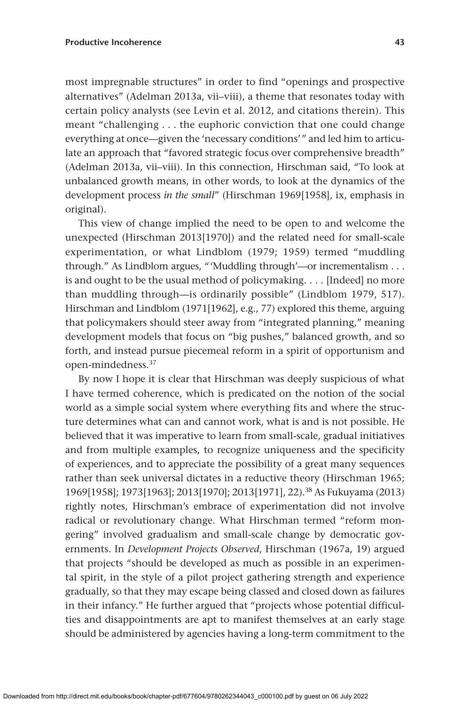most impregnable structures" in order to find "openings and prospective alternatives" (Adelman 2013a, vii–viii), a theme that resonates today with certain policy analysts (see Levin et al. 2012, and citations therein). This meant "challenging . . . the euphoric conviction that one could change everything at once—given the 'necessary conditions'" and led him to articulate an approach that "favored strategic focus over comprehensive breadth" (Adelman 2013a, vii–viii). In this connection, Hirschman said, "To look at unbalanced growth means, in other words, to look at the dynamics of the development process *in the small*" (Hirschman 1969[1958], ix, emphasis in original).

This view of change implied the need to be open to and welcome the unexpected (Hirschman 2013[1970]) and the related need for small-scale experimentation, or what Lindblom (1979; 1959) termed "muddling through." As Lindblom argues, "'Muddling through'—or incrementalism . . . is and ought to be the usual method of policymaking. . . . [Indeed] no more than muddling through—is ordinarily possible" (Lindblom 1979, 517). Hirschman and Lindblom (1971[1962], e.g., 77) explored this theme, arguing that policymakers should steer away from "integrated planning," meaning development models that focus on "big pushes," balanced growth, and so forth, and instead pursue piecemeal reform in a spirit of opportunism and open-mindedness.37

By now I hope it is clear that Hirschman was deeply suspicious of what I have termed coherence, which is predicated on the notion of the social world as a simple social system where everything fits and where the structure determines what can and cannot work, what is and is not possible. He believed that it was imperative to learn from small-scale, gradual initiatives and from multiple examples, to recognize uniqueness and the specificity of experiences, and to appreciate the possibility of a great many sequences rather than seek universal dictates in a reductive theory (Hirschman 1965; 1969[1958]; 1973[1963]; 2013[1970]; 2013[1971], 22).38 As Fukuyama (2013) rightly notes, Hirschman's embrace of experimentation did not involve radical or revolutionary change. What Hirschman termed "reform mongering" involved gradualism and small-scale change by democratic governments. In *Development Projects Observed*, Hirschman (1967a, 19) argued that projects "should be developed as much as possible in an experimental spirit, in the style of a pilot project gathering strength and experience gradually, so that they may escape being classed and closed down as failures in their infancy." He further argued that "projects whose potential difficulties and disappointments are apt to manifest themselves at an early stage should be administered by agencies having a long-term commitment to the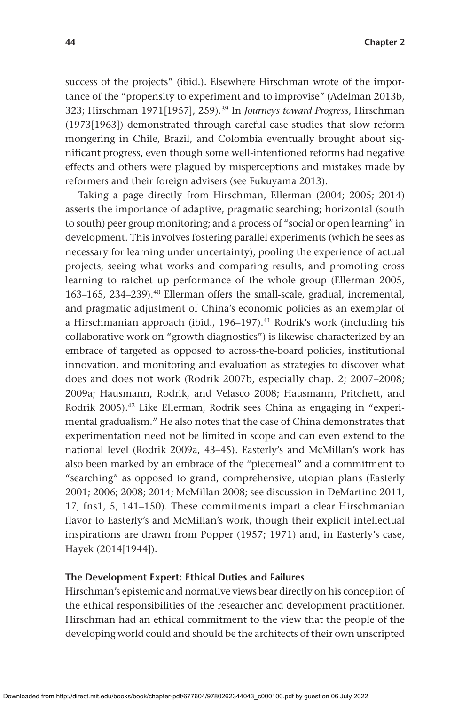success of the projects" (ibid.). Elsewhere Hirschman wrote of the importance of the "propensity to experiment and to improvise" (Adelman 2013b, 323; Hirschman 1971[1957], 259).39 In *Journeys toward Progress*, Hirschman (1973[1963]) demonstrated through careful case studies that slow reform mongering in Chile, Brazil, and Colombia eventually brought about significant progress, even though some well-intentioned reforms had negative effects and others were plagued by misperceptions and mistakes made by reformers and their foreign advisers (see Fukuyama 2013).

Taking a page directly from Hirschman, Ellerman (2004; 2005; 2014) asserts the importance of adaptive, pragmatic searching; horizontal (south to south) peer group monitoring; and a process of "social or open learning" in development. This involves fostering parallel experiments (which he sees as necessary for learning under uncertainty), pooling the experience of actual projects, seeing what works and comparing results, and promoting cross learning to ratchet up performance of the whole group (Ellerman 2005, 163–165, 234–239).40 Ellerman offers the small-scale, gradual, incremental, and pragmatic adjustment of China's economic policies as an exemplar of a Hirschmanian approach (ibid., 196–197).<sup>41</sup> Rodrik's work (including his collaborative work on "growth diagnostics") is likewise characterized by an embrace of targeted as opposed to across-the-board policies, institutional innovation, and monitoring and evaluation as strategies to discover what does and does not work (Rodrik 2007b, especially chap. 2; 2007–2008; 2009a; Hausmann, Rodrik, and Velasco 2008; Hausmann, Pritchett, and Rodrik 2005).42 Like Ellerman, Rodrik sees China as engaging in "experimental gradualism." He also notes that the case of China demonstrates that experimentation need not be limited in scope and can even extend to the national level (Rodrik 2009a, 43–45). Easterly's and McMillan's work has also been marked by an embrace of the "piecemeal" and a commitment to "searching" as opposed to grand, comprehensive, utopian plans (Easterly 2001; 2006; 2008; 2014; McMillan 2008; see discussion in DeMartino 2011, 17, fns1, 5, 141–150). These commitments impart a clear Hirschmanian flavor to Easterly's and McMillan's work, though their explicit intellectual inspirations are drawn from Popper (1957; 1971) and, in Easterly's case, Hayek (2014[1944]).

#### **The Development Expert: Ethical Duties and Failures**

Hirschman's epistemic and normative views bear directly on his conception of the ethical responsibilities of the researcher and development practitioner. Hirschman had an ethical commitment to the view that the people of the developing world could and should be the architects of their own unscripted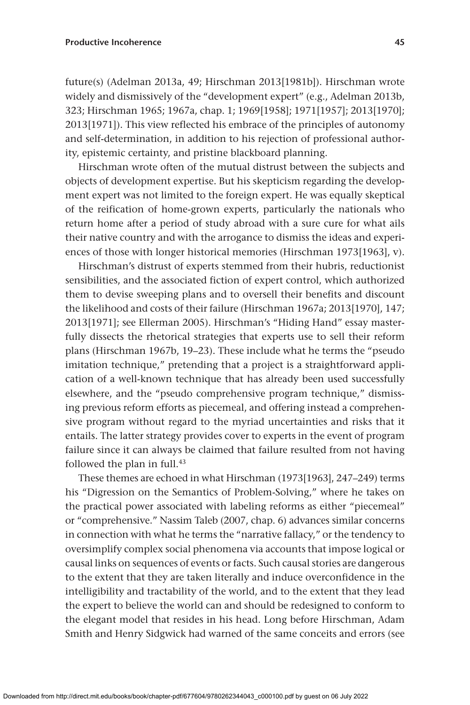future(s) (Adelman 2013a, 49; Hirschman 2013[1981b]). Hirschman wrote widely and dismissively of the "development expert" (e.g., Adelman 2013b, 323; Hirschman 1965; 1967a, chap. 1; 1969[1958]; 1971[1957]; 2013[1970]; 2013[1971]). This view reflected his embrace of the principles of autonomy and self-determination, in addition to his rejection of professional authority, epistemic certainty, and pristine blackboard planning.

Hirschman wrote often of the mutual distrust between the subjects and objects of development expertise. But his skepticism regarding the development expert was not limited to the foreign expert. He was equally skeptical of the reification of home-grown experts, particularly the nationals who return home after a period of study abroad with a sure cure for what ails their native country and with the arrogance to dismiss the ideas and experiences of those with longer historical memories (Hirschman 1973[1963], v).

Hirschman's distrust of experts stemmed from their hubris, reductionist sensibilities, and the associated fiction of expert control, which authorized them to devise sweeping plans and to oversell their benefits and discount the likelihood and costs of their failure (Hirschman 1967a; 2013[1970], 147; 2013[1971]; see Ellerman 2005). Hirschman's "Hiding Hand" essay masterfully dissects the rhetorical strategies that experts use to sell their reform plans (Hirschman 1967b, 19–23). These include what he terms the "pseudo imitation technique," pretending that a project is a straightforward application of a well-known technique that has already been used successfully elsewhere, and the "pseudo comprehensive program technique," dismissing previous reform efforts as piecemeal, and offering instead a comprehensive program without regard to the myriad uncertainties and risks that it entails. The latter strategy provides cover to experts in the event of program failure since it can always be claimed that failure resulted from not having followed the plan in full.<sup>43</sup>

These themes are echoed in what Hirschman (1973[1963], 247–249) terms his "Digression on the Semantics of Problem-Solving," where he takes on the practical power associated with labeling reforms as either "piecemeal" or "comprehensive." Nassim Taleb (2007, chap. 6) advances similar concerns in connection with what he terms the "narrative fallacy," or the tendency to oversimplify complex social phenomena via accounts that impose logical or causal links on sequences of events or facts. Such causal stories are dangerous to the extent that they are taken literally and induce overconfidence in the intelligibility and tractability of the world, and to the extent that they lead the expert to believe the world can and should be redesigned to conform to the elegant model that resides in his head. Long before Hirschman, Adam Smith and Henry Sidgwick had warned of the same conceits and errors (see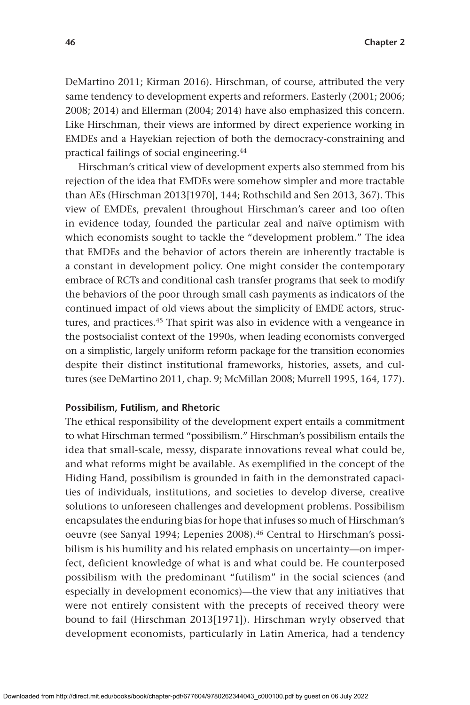DeMartino 2011; Kirman 2016). Hirschman, of course, attributed the very same tendency to development experts and reformers. Easterly (2001; 2006; 2008; 2014) and Ellerman (2004; 2014) have also emphasized this concern. Like Hirschman, their views are informed by direct experience working in EMDEs and a Hayekian rejection of both the democracy-constraining and practical failings of social engineering.44

Hirschman's critical view of development experts also stemmed from his rejection of the idea that EMDEs were somehow simpler and more tractable than AEs (Hirschman 2013[1970], 144; Rothschild and Sen 2013, 367). This view of EMDEs, prevalent throughout Hirschman's career and too often in evidence today, founded the particular zeal and naïve optimism with which economists sought to tackle the "development problem." The idea that EMDEs and the behavior of actors therein are inherently tractable is a constant in development policy. One might consider the contemporary embrace of RCTs and conditional cash transfer programs that seek to modify the behaviors of the poor through small cash payments as indicators of the continued impact of old views about the simplicity of EMDE actors, structures, and practices.<sup>45</sup> That spirit was also in evidence with a vengeance in the postsocialist context of the 1990s, when leading economists converged on a simplistic, largely uniform reform package for the transition economies despite their distinct institutional frameworks, histories, assets, and cultures (see DeMartino 2011, chap. 9; McMillan 2008; Murrell 1995, 164, 177).

### **Possibilism, Futilism, and Rhetoric**

The ethical responsibility of the development expert entails a commitment to what Hirschman termed "possibilism." Hirschman's possibilism entails the idea that small-scale, messy, disparate innovations reveal what could be, and what reforms might be available. As exemplified in the concept of the Hiding Hand, possibilism is grounded in faith in the demonstrated capacities of individuals, institutions, and societies to develop diverse, creative solutions to unforeseen challenges and development problems. Possibilism encapsulates the enduring bias for hope that infuses so much of Hirschman's oeuvre (see Sanyal 1994; Lepenies 2008).46 Central to Hirschman's possibilism is his humility and his related emphasis on uncertainty—on imperfect, deficient knowledge of what is and what could be. He counterposed possibilism with the predominant "futilism" in the social sciences (and especially in development economics)—the view that any initiatives that were not entirely consistent with the precepts of received theory were bound to fail (Hirschman 2013[1971]). Hirschman wryly observed that development economists, particularly in Latin America, had a tendency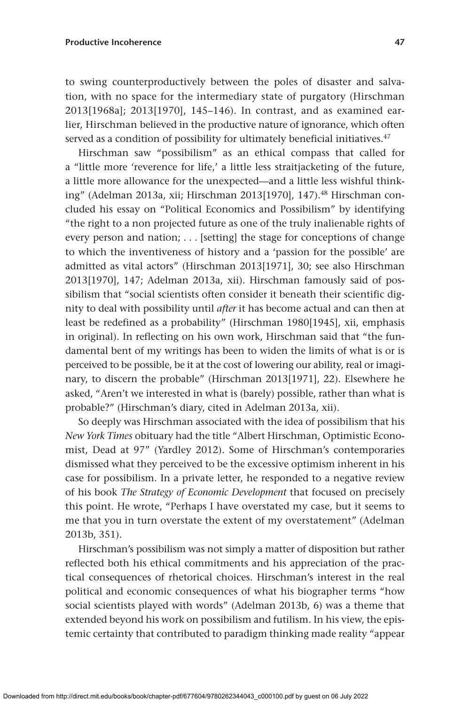to swing counterproductively between the poles of disaster and salvation, with no space for the intermediary state of purgatory (Hirschman 2013[1968a]; 2013[1970], 145–146). In contrast, and as examined earlier, Hirschman believed in the productive nature of ignorance, which often served as a condition of possibility for ultimately beneficial initiatives.<sup>47</sup>

Hirschman saw "possibilism" as an ethical compass that called for a "little more 'reverence for life,' a little less straitjacketing of the future, a little more allowance for the unexpected—and a little less wishful thinking" (Adelman 2013a, xii; Hirschman 2013[1970], 147).48 Hirschman concluded his essay on "Political Economics and Possibilism" by identifying "the right to a non projected future as one of the truly inalienable rights of every person and nation; . . . [setting] the stage for conceptions of change to which the inventiveness of history and a 'passion for the possible' are admitted as vital actors" (Hirschman 2013[1971], 30; see also Hirschman 2013[1970], 147; Adelman 2013a, xii). Hirschman famously said of possibilism that "social scientists often consider it beneath their scientific dignity to deal with possibility until *after* it has become actual and can then at least be redefined as a probability" (Hirschman 1980[1945], xii, emphasis in original). In reflecting on his own work, Hirschman said that "the fundamental bent of my writings has been to widen the limits of what is or is perceived to be possible, be it at the cost of lowering our ability, real or imaginary, to discern the probable" (Hirschman 2013[1971], 22). Elsewhere he asked, "Aren't we interested in what is (barely) possible, rather than what is probable?" (Hirschman's diary, cited in Adelman 2013a, xii).

So deeply was Hirschman associated with the idea of possibilism that his *New York Times* obituary had the title "Albert Hirschman, Optimistic Economist, Dead at 97" (Yardley 2012). Some of Hirschman's contemporaries dismissed what they perceived to be the excessive optimism inherent in his case for possibilism. In a private letter, he responded to a negative review of his book *The Strategy of Economic Development* that focused on precisely this point. He wrote, "Perhaps I have overstated my case, but it seems to me that you in turn overstate the extent of my overstatement" (Adelman 2013b, 351).

Hirschman's possibilism was not simply a matter of disposition but rather reflected both his ethical commitments and his appreciation of the practical consequences of rhetorical choices. Hirschman's interest in the real political and economic consequences of what his biographer terms "how social scientists played with words" (Adelman 2013b, 6) was a theme that extended beyond his work on possibilism and futilism. In his view, the epistemic certainty that contributed to paradigm thinking made reality "appear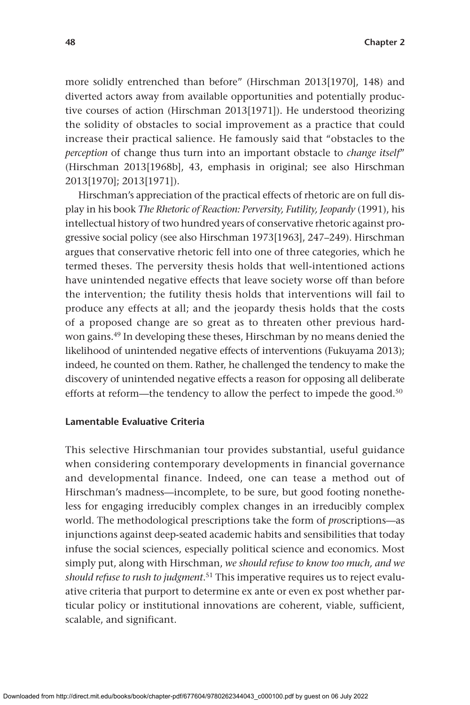more solidly entrenched than before" (Hirschman 2013[1970], 148) and diverted actors away from available opportunities and potentially productive courses of action (Hirschman 2013[1971]). He understood theorizing the solidity of obstacles to social improvement as a practice that could increase their practical salience. He famously said that "obstacles to the *perception* of change thus turn into an important obstacle to *change itself*" (Hirschman 2013[1968b], 43, emphasis in original; see also Hirschman 2013[1970]; 2013[1971]).

Hirschman's appreciation of the practical effects of rhetoric are on full display in his book *The Rhetoric of Reaction: Perversity, Futility, Jeopardy* (1991), his intellectual history of two hundred years of conservative rhetoric against progressive social policy (see also Hirschman 1973[1963], 247–249). Hirschman argues that conservative rhetoric fell into one of three categories, which he termed theses. The perversity thesis holds that well-intentioned actions have unintended negative effects that leave society worse off than before the intervention; the futility thesis holds that interventions will fail to produce any effects at all; and the jeopardy thesis holds that the costs of a proposed change are so great as to threaten other previous hardwon gains.49 In developing these theses, Hirschman by no means denied the likelihood of unintended negative effects of interventions (Fukuyama 2013); indeed, he counted on them. Rather, he challenged the tendency to make the discovery of unintended negative effects a reason for opposing all deliberate efforts at reform—the tendency to allow the perfect to impede the good.<sup>50</sup>

## **Lamentable Evaluative Criteria**

This selective Hirschmanian tour provides substantial, useful guidance when considering contemporary developments in financial governance and developmental finance. Indeed, one can tease a method out of Hirschman's madness—incomplete, to be sure, but good footing nonetheless for engaging irreducibly complex changes in an irreducibly complex world. The methodological prescriptions take the form of *pro*scriptions—as injunctions against deep-seated academic habits and sensibilities that today infuse the social sciences, especially political science and economics. Most simply put, along with Hirschman, *we should refuse to know too much, and we should refuse to rush to judgment*. 51 This imperative requires us to reject evaluative criteria that purport to determine ex ante or even ex post whether particular policy or institutional innovations are coherent, viable, sufficient, scalable, and significant.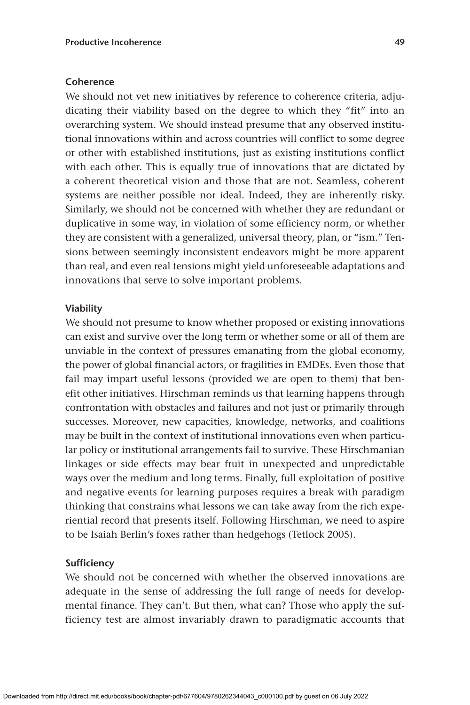## **Coherence**

We should not vet new initiatives by reference to coherence criteria, adjudicating their viability based on the degree to which they "fit" into an overarching system. We should instead presume that any observed institutional innovations within and across countries will conflict to some degree or other with established institutions, just as existing institutions conflict with each other. This is equally true of innovations that are dictated by a coherent theoretical vision and those that are not. Seamless, coherent systems are neither possible nor ideal. Indeed, they are inherently risky. Similarly, we should not be concerned with whether they are redundant or duplicative in some way, in violation of some efficiency norm, or whether they are consistent with a generalized, universal theory, plan, or "ism." Tensions between seemingly inconsistent endeavors might be more apparent than real, and even real tensions might yield unforeseeable adaptations and innovations that serve to solve important problems.

## **Viability**

We should not presume to know whether proposed or existing innovations can exist and survive over the long term or whether some or all of them are unviable in the context of pressures emanating from the global economy, the power of global financial actors, or fragilities in EMDEs. Even those that fail may impart useful lessons (provided we are open to them) that benefit other initiatives. Hirschman reminds us that learning happens through confrontation with obstacles and failures and not just or primarily through successes. Moreover, new capacities, knowledge, networks, and coalitions may be built in the context of institutional innovations even when particular policy or institutional arrangements fail to survive. These Hirschmanian linkages or side effects may bear fruit in unexpected and unpredictable ways over the medium and long terms. Finally, full exploitation of positive and negative events for learning purposes requires a break with paradigm thinking that constrains what lessons we can take away from the rich experiential record that presents itself. Following Hirschman, we need to aspire to be Isaiah Berlin's foxes rather than hedgehogs (Tetlock 2005).

#### **Sufficiency**

We should not be concerned with whether the observed innovations are adequate in the sense of addressing the full range of needs for developmental finance. They can't. But then, what can? Those who apply the sufficiency test are almost invariably drawn to paradigmatic accounts that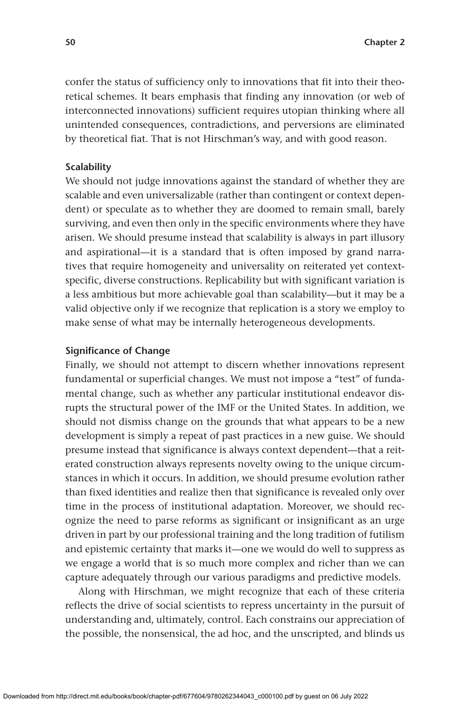confer the status of sufficiency only to innovations that fit into their theoretical schemes. It bears emphasis that finding any innovation (or web of interconnected innovations) sufficient requires utopian thinking where all unintended consequences, contradictions, and perversions are eliminated by theoretical fiat. That is not Hirschman's way, and with good reason.

#### **Scalability**

We should not judge innovations against the standard of whether they are scalable and even universalizable (rather than contingent or context dependent) or speculate as to whether they are doomed to remain small, barely surviving, and even then only in the specific environments where they have arisen. We should presume instead that scalability is always in part illusory and aspirational—it is a standard that is often imposed by grand narratives that require homogeneity and universality on reiterated yet contextspecific, diverse constructions. Replicability but with significant variation is a less ambitious but more achievable goal than scalability—but it may be a valid objective only if we recognize that replication is a story we employ to make sense of what may be internally heterogeneous developments.

## **Significance of Change**

Finally, we should not attempt to discern whether innovations represent fundamental or superficial changes. We must not impose a "test" of fundamental change, such as whether any particular institutional endeavor disrupts the structural power of the IMF or the United States. In addition, we should not dismiss change on the grounds that what appears to be a new development is simply a repeat of past practices in a new guise. We should presume instead that significance is always context dependent—that a reiterated construction always represents novelty owing to the unique circumstances in which it occurs. In addition, we should presume evolution rather than fixed identities and realize then that significance is revealed only over time in the process of institutional adaptation. Moreover, we should recognize the need to parse reforms as significant or insignificant as an urge driven in part by our professional training and the long tradition of futilism and epistemic certainty that marks it—one we would do well to suppress as we engage a world that is so much more complex and richer than we can capture adequately through our various paradigms and predictive models.

Along with Hirschman, we might recognize that each of these criteria reflects the drive of social scientists to repress uncertainty in the pursuit of understanding and, ultimately, control. Each constrains our appreciation of the possible, the nonsensical, the ad hoc, and the unscripted, and blinds us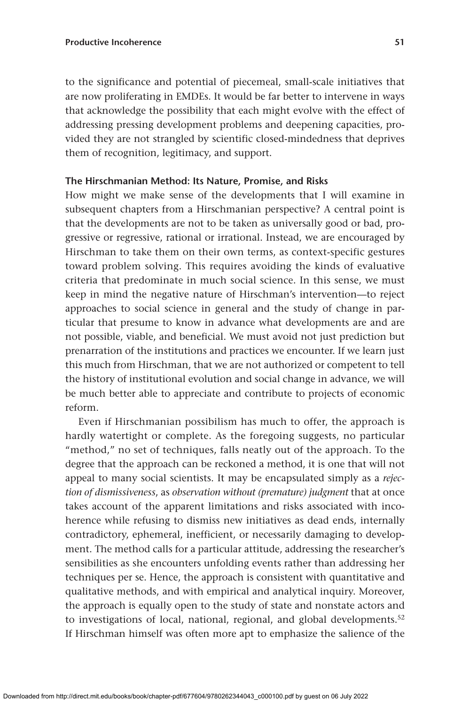to the significance and potential of piecemeal, small-scale initiatives that are now proliferating in EMDEs. It would be far better to intervene in ways that acknowledge the possibility that each might evolve with the effect of addressing pressing development problems and deepening capacities, provided they are not strangled by scientific closed-mindedness that deprives them of recognition, legitimacy, and support.

## **The Hirschmanian Method: Its Nature, Promise, and Risks**

How might we make sense of the developments that I will examine in subsequent chapters from a Hirschmanian perspective? A central point is that the developments are not to be taken as universally good or bad, progressive or regressive, rational or irrational. Instead, we are encouraged by Hirschman to take them on their own terms, as context-specific gestures toward problem solving. This requires avoiding the kinds of evaluative criteria that predominate in much social science. In this sense, we must keep in mind the negative nature of Hirschman's intervention—to reject approaches to social science in general and the study of change in particular that presume to know in advance what developments are and are not possible, viable, and beneficial. We must avoid not just prediction but prenarration of the institutions and practices we encounter. If we learn just this much from Hirschman, that we are not authorized or competent to tell the history of institutional evolution and social change in advance, we will be much better able to appreciate and contribute to projects of economic reform.

Even if Hirschmanian possibilism has much to offer, the approach is hardly watertight or complete. As the foregoing suggests, no particular "method," no set of techniques, falls neatly out of the approach. To the degree that the approach can be reckoned a method, it is one that will not appeal to many social scientists. It may be encapsulated simply as a *rejection of dismissiveness*, as *observation without (premature) judgment* that at once takes account of the apparent limitations and risks associated with incoherence while refusing to dismiss new initiatives as dead ends, internally contradictory, ephemeral, inefficient, or necessarily damaging to development. The method calls for a particular attitude, addressing the researcher's sensibilities as she encounters unfolding events rather than addressing her techniques per se. Hence, the approach is consistent with quantitative and qualitative methods, and with empirical and analytical inquiry. Moreover, the approach is equally open to the study of state and nonstate actors and to investigations of local, national, regional, and global developments.<sup>52</sup> If Hirschman himself was often more apt to emphasize the salience of the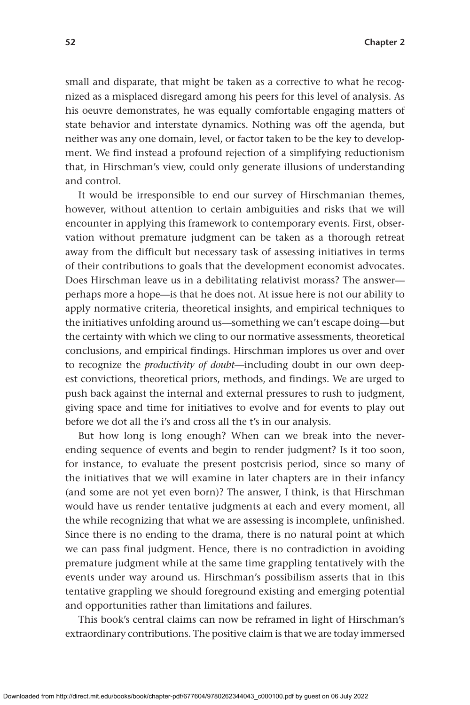small and disparate, that might be taken as a corrective to what he recognized as a misplaced disregard among his peers for this level of analysis. As his oeuvre demonstrates, he was equally comfortable engaging matters of state behavior and interstate dynamics. Nothing was off the agenda, but neither was any one domain, level, or factor taken to be the key to development. We find instead a profound rejection of a simplifying reductionism that, in Hirschman's view, could only generate illusions of understanding and control.

It would be irresponsible to end our survey of Hirschmanian themes, however, without attention to certain ambiguities and risks that we will encounter in applying this framework to contemporary events. First, observation without premature judgment can be taken as a thorough retreat away from the difficult but necessary task of assessing initiatives in terms of their contributions to goals that the development economist advocates. Does Hirschman leave us in a debilitating relativist morass? The answer perhaps more a hope—is that he does not. At issue here is not our ability to apply normative criteria, theoretical insights, and empirical techniques to the initiatives unfolding around us—something we can't escape doing—but the certainty with which we cling to our normative assessments, theoretical conclusions, and empirical findings. Hirschman implores us over and over to recognize the *productivity of doubt*—including doubt in our own deepest convictions, theoretical priors, methods, and findings. We are urged to push back against the internal and external pressures to rush to judgment, giving space and time for initiatives to evolve and for events to play out before we dot all the i's and cross all the t's in our analysis.

But how long is long enough? When can we break into the neverending sequence of events and begin to render judgment? Is it too soon, for instance, to evaluate the present postcrisis period, since so many of the initiatives that we will examine in later chapters are in their infancy (and some are not yet even born)? The answer, I think, is that Hirschman would have us render tentative judgments at each and every moment, all the while recognizing that what we are assessing is incomplete, unfinished. Since there is no ending to the drama, there is no natural point at which we can pass final judgment. Hence, there is no contradiction in avoiding premature judgment while at the same time grappling tentatively with the events under way around us. Hirschman's possibilism asserts that in this tentative grappling we should foreground existing and emerging potential and opportunities rather than limitations and failures.

This book's central claims can now be reframed in light of Hirschman's extraordinary contributions. The positive claim is that we are today immersed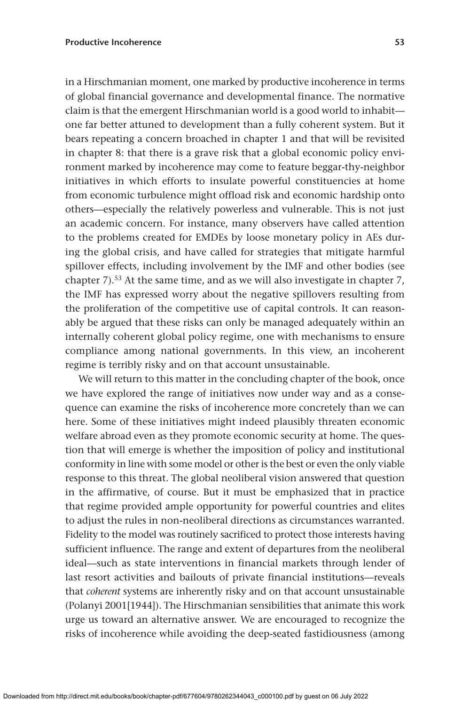in a Hirschmanian moment, one marked by productive incoherence in terms of global financial governance and developmental finance. The normative claim is that the emergent Hirschmanian world is a good world to inhabit one far better attuned to development than a fully coherent system. But it bears repeating a concern broached in chapter 1 and that will be revisited in chapter 8: that there is a grave risk that a global economic policy environment marked by incoherence may come to feature beggar-thy-neighbor initiatives in which efforts to insulate powerful constituencies at home from economic turbulence might offload risk and economic hardship onto others—especially the relatively powerless and vulnerable. This is not just an academic concern. For instance, many observers have called attention to the problems created for EMDEs by loose monetary policy in AEs during the global crisis, and have called for strategies that mitigate harmful spillover effects, including involvement by the IMF and other bodies (see chapter 7).53 At the same time, and as we will also investigate in chapter 7, the IMF has expressed worry about the negative spillovers resulting from the proliferation of the competitive use of capital controls. It can reasonably be argued that these risks can only be managed adequately within an internally coherent global policy regime, one with mechanisms to ensure compliance among national governments. In this view, an incoherent regime is terribly risky and on that account unsustainable.

We will return to this matter in the concluding chapter of the book, once we have explored the range of initiatives now under way and as a consequence can examine the risks of incoherence more concretely than we can here. Some of these initiatives might indeed plausibly threaten economic welfare abroad even as they promote economic security at home. The question that will emerge is whether the imposition of policy and institutional conformity in line with some model or other is the best or even the only viable response to this threat. The global neoliberal vision answered that question in the affirmative, of course. But it must be emphasized that in practice that regime provided ample opportunity for powerful countries and elites to adjust the rules in non-neoliberal directions as circumstances warranted. Fidelity to the model was routinely sacrificed to protect those interests having sufficient influence. The range and extent of departures from the neoliberal ideal—such as state interventions in financial markets through lender of last resort activities and bailouts of private financial institutions—reveals that *coherent* systems are inherently risky and on that account unsustainable (Polanyi 2001[1944]). The Hirschmanian sensibilities that animate this work urge us toward an alternative answer. We are encouraged to recognize the risks of incoherence while avoiding the deep-seated fastidiousness (among